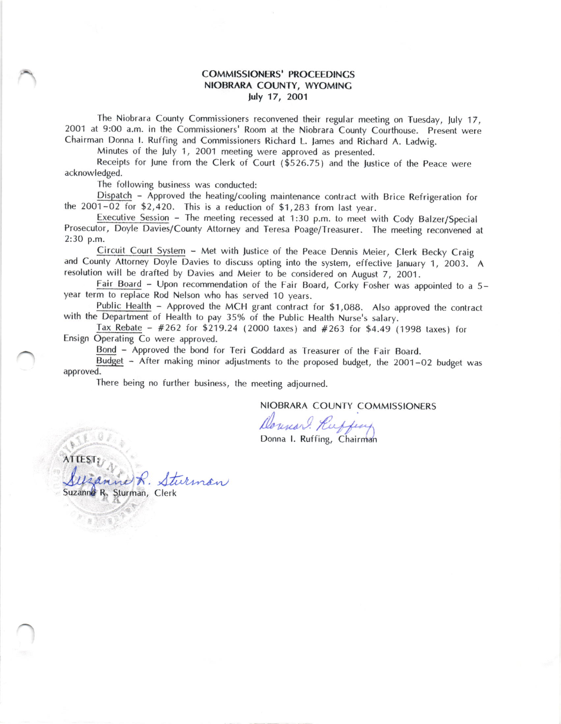## COMMISSIONERS' PROCEEDINCS NIOBRARA COUNTY, WYOMING july 17 , 2OO1

The Niobrara County Commissioners reconvened their regular meeting on Tuesday, July 17, 2001 at 9:00 a.m. in the Commissioners' Room at the Niobrara County Courthouse. Present were Chairman Donna I. Ruffing and Commissioners Richard L. James and Richard A. Ladwig.

Minutes of the luly 1, 2OO1 meeting were approved as presented.

Receipts for lune from the Clerk of Court (\$526.75) and the lustice of the peace were acknowledged.

The following business was conducted:

.<br>ho Dispatch - Approved the heating/cooling maintenance contract with Brice Refrigeration for the  $2001-02$  for \$2,420. This is a reduction of \$1,283 from last year.

Executive Session - The meeting recessed at 1:30 p.m. to meet with Cody Balzer/Special Prosecutor, Doyle Davies/County Attorney and Teresa Poage/Treasurer. The meeting reconvened at 2:30 p.m.

Lircuit Court System – Met with Justice of the Peace Dennis Meier, Clerk Becky Craig<br>and County Attorney Doyle Davies to discuss opting into the system, effective January 1, 2003. A Circuit Court System - Met with Justice of the peace Dennis Meier, Clerk Becky Craig resolution will be drafted by Davies and Meier to be considered on August 7, 2OO1.

Fair Board - Upon recommendation of the Fair Board, Corky Fosher was appointed to a 5 year term to replace Rod Nelson who has served 10 years.

Public Health – Approved the MCH grant contract for \$1,088. Also a<br>with the Department of Health to pay 35% of the Public Health Nurse's salary. Public Health - Approved the MCH grant contract for \$1,088. Also approved the contract

Tax Rebate -  $#262$  for \$219.24 (2000 taxes) and  $#263$  for \$4.49 (1998 taxes) for Ensign Operating Co were approved.

Bond - Approved the bond for Teri Coddard as Treasurer of the Fair Board.

Budget - After making minor adjustments to the proposed budget, the 2001-02 budget was approved.

There being no further business, the meeting adjourned.

Sturman, Clerk

R. Sturman

NIOBRARA COUNTY COMMISSIONERS

Donna Commic

Donna I. Ruffing, Chairman